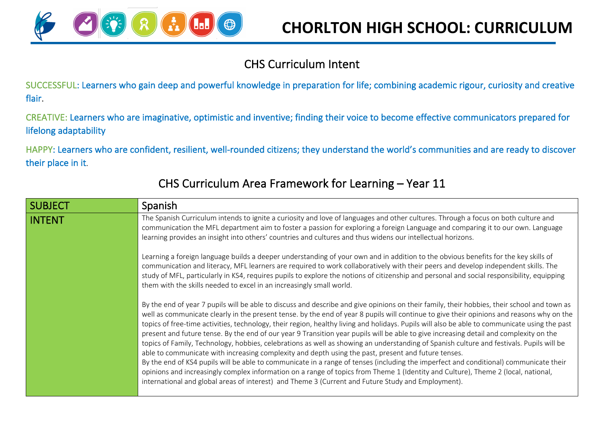

## CHS Curriculum Intent

SUCCESSFUL: Learners who gain deep and powerful knowledge in preparation for life; combining academic rigour, curiosity and creative flair.

CREATIVE: Learners who are imaginative, optimistic and inventive; finding their voice to become effective communicators prepared for lifelong adaptability

HAPPY: Learners who are confident, resilient, well-rounded citizens; they understand the world's communities and are ready to discover their place in it.

| <b>SUBJECT</b> | Spanish                                                                                                                                                                                                                                                                                                                                                                                                                                                                                                                                                                                                                                                                                                                                                                                                                                                                                                                                                                                                                                                                                                                                                                                                                    |
|----------------|----------------------------------------------------------------------------------------------------------------------------------------------------------------------------------------------------------------------------------------------------------------------------------------------------------------------------------------------------------------------------------------------------------------------------------------------------------------------------------------------------------------------------------------------------------------------------------------------------------------------------------------------------------------------------------------------------------------------------------------------------------------------------------------------------------------------------------------------------------------------------------------------------------------------------------------------------------------------------------------------------------------------------------------------------------------------------------------------------------------------------------------------------------------------------------------------------------------------------|
| <b>INTENT</b>  | The Spanish Curriculum intends to ignite a curiosity and love of languages and other cultures. Through a focus on both culture and<br>communication the MFL department aim to foster a passion for exploring a foreign Language and comparing it to our own. Language<br>learning provides an insight into others' countries and cultures and thus widens our intellectual horizons.                                                                                                                                                                                                                                                                                                                                                                                                                                                                                                                                                                                                                                                                                                                                                                                                                                       |
|                | Learning a foreign language builds a deeper understanding of your own and in addition to the obvious benefits for the key skills of<br>communication and literacy, MFL learners are required to work collaboratively with their peers and develop independent skills. The<br>study of MFL, particularly in KS4, requires pupils to explore the notions of citizenship and personal and social responsibility, equipping<br>them with the skills needed to excel in an increasingly small world.                                                                                                                                                                                                                                                                                                                                                                                                                                                                                                                                                                                                                                                                                                                            |
|                | By the end of year 7 pupils will be able to discuss and describe and give opinions on their family, their hobbies, their school and town as<br>well as communicate clearly in the present tense. by the end of year 8 pupils will continue to give their opinions and reasons why on the<br>topics of free-time activities, technology, their region, healthy living and holidays. Pupils will also be able to communicate using the past<br>present and future tense. By the end of our year 9 Transition year pupils will be able to give increasing detail and complexity on the<br>topics of Family, Technology, hobbies, celebrations as well as showing an understanding of Spanish culture and festivals. Pupils will be<br>able to communicate with increasing complexity and depth using the past, present and future tenses.<br>By the end of KS4 pupils will be able to communicate in a range of tenses (including the imperfect and conditional) communicate their<br>opinions and increasingly complex information on a range of topics from Theme 1 (Identity and Culture), Theme 2 (local, national,<br>international and global areas of interest) and Theme 3 (Current and Future Study and Employment). |

## CHS Curriculum Area Framework for Learning – Year 11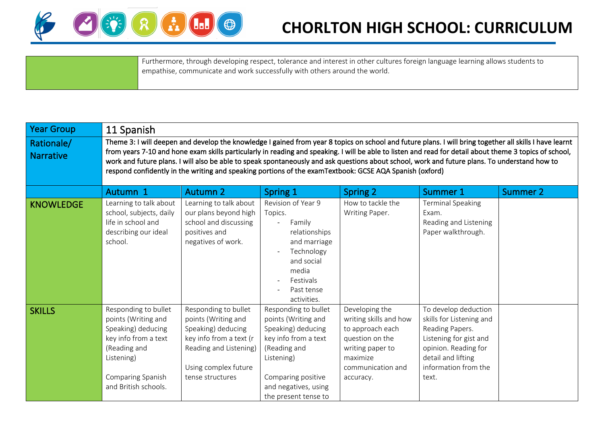

## **CHORLTON HIGH SCHOOL: CURRICULUM**

Furthermore, through developing respect, tolerance and interest in other cultures foreign language learning allows students to empathise, communicate and work successfully with others around the world.

| <b>Year Group</b>              | 11 Spanish                                                                                                                                                                                                                                                                                                                                                                                                                                                                                                                                                                     |                                                                                                                                                                    |                                                                                                                                                                                               |                                                                                                                                                   |                                                                                                                                                                              |          |  |  |  |  |
|--------------------------------|--------------------------------------------------------------------------------------------------------------------------------------------------------------------------------------------------------------------------------------------------------------------------------------------------------------------------------------------------------------------------------------------------------------------------------------------------------------------------------------------------------------------------------------------------------------------------------|--------------------------------------------------------------------------------------------------------------------------------------------------------------------|-----------------------------------------------------------------------------------------------------------------------------------------------------------------------------------------------|---------------------------------------------------------------------------------------------------------------------------------------------------|------------------------------------------------------------------------------------------------------------------------------------------------------------------------------|----------|--|--|--|--|
| Rationale/<br><b>Narrative</b> | Theme 3: I will deepen and develop the knowledge I gained from year 8 topics on school and future plans. I will bring together all skills I have learnt<br>from years 7-10 and hone exam skills particularly in reading and speaking. I will be able to listen and read for detail about theme 3 topics of school,<br>work and future plans. I will also be able to speak spontaneously and ask questions about school, work and future plans. To understand how to<br>respond confidently in the writing and speaking portions of the examTextbook: GCSE AQA Spanish (oxford) |                                                                                                                                                                    |                                                                                                                                                                                               |                                                                                                                                                   |                                                                                                                                                                              |          |  |  |  |  |
|                                | Autumn 1                                                                                                                                                                                                                                                                                                                                                                                                                                                                                                                                                                       | <b>Autumn 2</b>                                                                                                                                                    | Spring 1                                                                                                                                                                                      | <b>Spring 2</b>                                                                                                                                   | Summer 1                                                                                                                                                                     | Summer 2 |  |  |  |  |
| <b>KNOWLEDGE</b>               | Learning to talk about<br>school, subjects, daily<br>life in school and<br>describing our ideal<br>school.                                                                                                                                                                                                                                                                                                                                                                                                                                                                     | Learning to talk about<br>our plans beyond high<br>school and discussing<br>positives and<br>negatives of work.                                                    | Revision of Year 9<br>Topics.<br>Family<br>$\overline{\phantom{0}}$<br>relationships<br>and marriage<br>Technology<br>and social<br>media<br>Festivals<br>Past tense<br>activities.           | How to tackle the<br>Writing Paper.                                                                                                               | <b>Terminal Speaking</b><br>Exam.<br>Reading and Listening<br>Paper walkthrough.                                                                                             |          |  |  |  |  |
| <b>SKILLS</b>                  | Responding to bullet<br>points (Writing and<br>Speaking) deducing<br>key info from a text<br>(Reading and<br>Listening)<br>Comparing Spanish<br>and British schools.                                                                                                                                                                                                                                                                                                                                                                                                           | Responding to bullet<br>points (Writing and<br>Speaking) deducing<br>key info from a text (r<br>Reading and Listening)<br>Using complex future<br>tense structures | Responding to bullet<br>points (Writing and<br>Speaking) deducing<br>key info from a text<br>(Reading and<br>Listening)<br>Comparing positive<br>and negatives, using<br>the present tense to | Developing the<br>writing skills and how<br>to approach each<br>question on the<br>writing paper to<br>maximize<br>communication and<br>accuracy. | To develop deduction<br>skills for Listening and<br>Reading Papers.<br>Listening for gist and<br>opinion. Reading for<br>detail and lifting<br>information from the<br>text. |          |  |  |  |  |